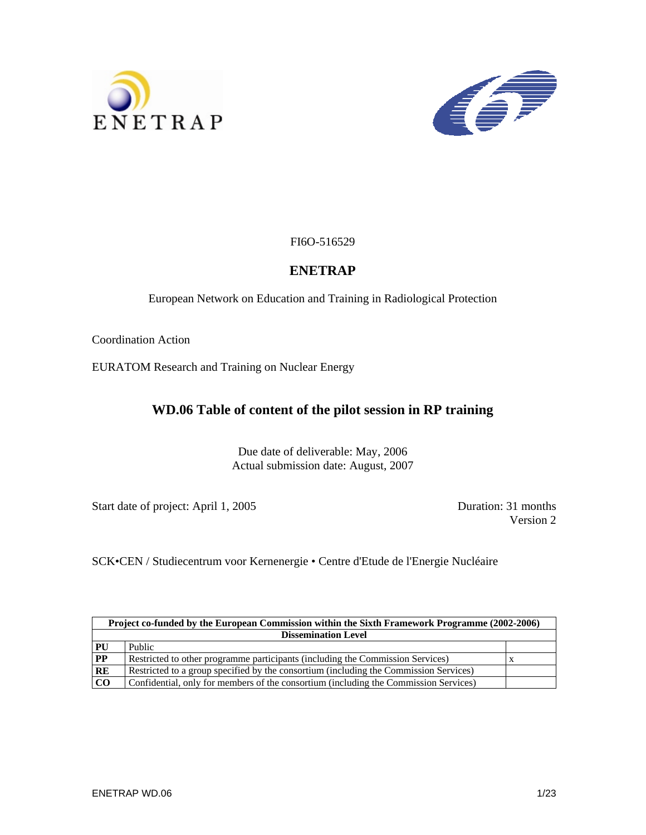



FI6O-516529

### **ENETRAP**

European Network on Education and Training in Radiological Protection

Coordination Action

EURATOM Research and Training on Nuclear Energy

### **WD.06 Table of content of the pilot session in RP training**

Due date of deliverable: May, 2006 Actual submission date: August, 2007

Start date of project: April 1, 2005 Duration: 31 months

Version 2

SCK•CEN / Studiecentrum voor Kernenergie • Centre d'Etude de l'Energie Nucléaire

|                            | Project co-funded by the European Commission within the Sixth Framework Programme (2002-2006) |  |  |  |
|----------------------------|-----------------------------------------------------------------------------------------------|--|--|--|
| <b>Dissemination Level</b> |                                                                                               |  |  |  |
| PU                         | Public                                                                                        |  |  |  |
| PP                         | Restricted to other programme participants (including the Commission Services)                |  |  |  |
| RE                         | Restricted to a group specified by the consortium (including the Commission Services)         |  |  |  |
| <b>CO</b>                  | Confidential, only for members of the consortium (including the Commission Services)          |  |  |  |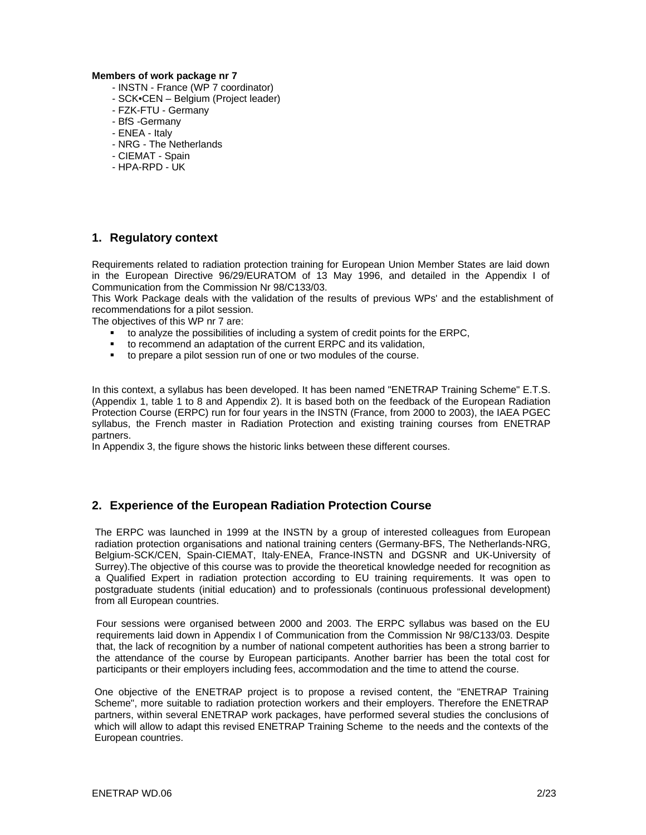#### **Members of work package nr 7**

- INSTN France (WP 7 coordinator)
- SCK•CEN Belgium (Project leader)
- FZK-FTU Germany
- BfS -Germany
- ENEA Italy
- NRG The Netherlands
- CIEMAT Spain
- HPA-RPD UK

### **1. Regulatory context**

Requirements related to radiation protection training for European Union Member States are laid down in the European Directive 96/29/EURATOM of 13 May 1996, and detailed in the Appendix I of Communication from the Commission Nr 98/C133/03.

This Work Package deals with the validation of the results of previous WPs' and the establishment of recommendations for a pilot session.

The objectives of this WP nr 7 are:

- to analyze the possibilities of including a system of credit points for the ERPC,
- to recommend an adaptation of the current ERPC and its validation,
- to prepare a pilot session run of one or two modules of the course.

In this context, a syllabus has been developed. It has been named "ENETRAP Training Scheme" E.T.S. (Appendix 1, table 1 to 8 and Appendix 2). It is based both on the feedback of the European Radiation Protection Course (ERPC) run for four years in the INSTN (France, from 2000 to 2003), the IAEA PGEC syllabus, the French master in Radiation Protection and existing training courses from ENETRAP partners.

In Appendix 3, the figure shows the historic links between these different courses.

### **2. Experience of the European Radiation Protection Course**

The ERPC was launched in 1999 at the INSTN by a group of interested colleagues from European radiation protection organisations and national training centers (Germany-BFS, The Netherlands-NRG, Belgium-SCK/CEN, Spain-CIEMAT, Italy-ENEA, France-INSTN and DGSNR and UK-University of Surrey).The objective of this course was to provide the theoretical knowledge needed for recognition as a Qualified Expert in radiation protection according to EU training requirements. It was open to postgraduate students (initial education) and to professionals (continuous professional development) from all European countries.

Four sessions were organised between 2000 and 2003. The ERPC syllabus was based on the EU requirements laid down in Appendix I of Communication from the Commission Nr 98/C133/03. Despite that, the lack of recognition by a number of national competent authorities has been a strong barrier to the attendance of the course by European participants. Another barrier has been the total cost for participants or their employers including fees, accommodation and the time to attend the course.

One objective of the ENETRAP project is to propose a revised content, the "ENETRAP Training Scheme", more suitable to radiation protection workers and their employers. Therefore the ENETRAP partners, within several ENETRAP work packages, have performed several studies the conclusions of which will allow to adapt this revised ENETRAP Training Scheme to the needs and the contexts of the European countries.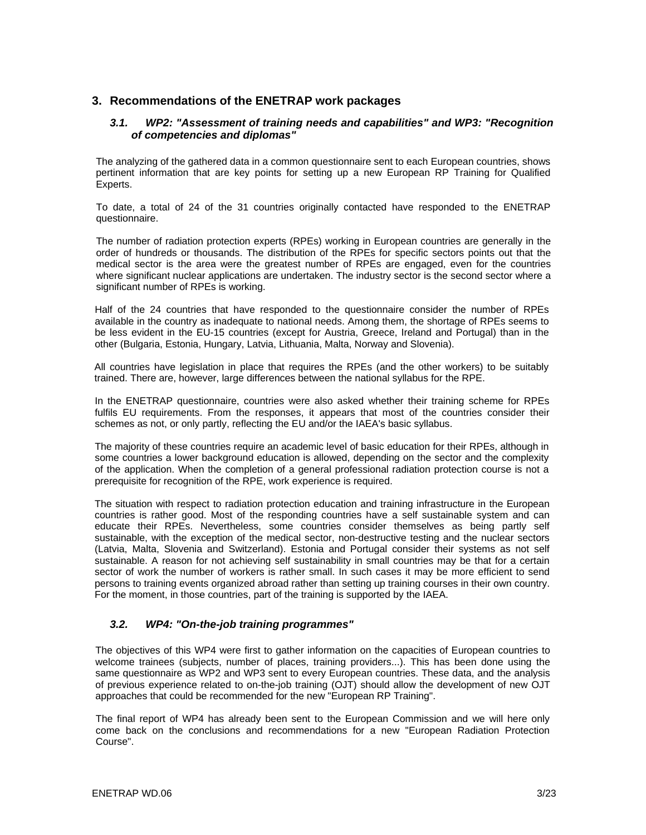### **3. Recommendations of the ENETRAP work packages**

#### *3.1. WP2: "Assessment of training needs and capabilities" and WP3: "Recognition of competencies and diplomas"*

The analyzing of the gathered data in a common questionnaire sent to each European countries, shows pertinent information that are key points for setting up a new European RP Training for Qualified Experts.

To date, a total of 24 of the 31 countries originally contacted have responded to the ENETRAP questionnaire.

The number of radiation protection experts (RPEs) working in European countries are generally in the order of hundreds or thousands. The distribution of the RPEs for specific sectors points out that the medical sector is the area were the greatest number of RPEs are engaged, even for the countries where significant nuclear applications are undertaken. The industry sector is the second sector where a significant number of RPEs is working.

Half of the 24 countries that have responded to the questionnaire consider the number of RPEs available in the country as inadequate to national needs. Among them, the shortage of RPEs seems to be less evident in the EU-15 countries (except for Austria, Greece, Ireland and Portugal) than in the other (Bulgaria, Estonia, Hungary, Latvia, Lithuania, Malta, Norway and Slovenia).

All countries have legislation in place that requires the RPEs (and the other workers) to be suitably trained. There are, however, large differences between the national syllabus for the RPE.

In the ENETRAP questionnaire, countries were also asked whether their training scheme for RPEs fulfils EU requirements. From the responses, it appears that most of the countries consider their schemes as not, or only partly, reflecting the EU and/or the IAEA's basic syllabus.

The majority of these countries require an academic level of basic education for their RPEs, although in some countries a lower background education is allowed, depending on the sector and the complexity of the application. When the completion of a general professional radiation protection course is not a prerequisite for recognition of the RPE, work experience is required.

The situation with respect to radiation protection education and training infrastructure in the European countries is rather good. Most of the responding countries have a self sustainable system and can educate their RPEs. Nevertheless, some countries consider themselves as being partly self sustainable, with the exception of the medical sector, non-destructive testing and the nuclear sectors (Latvia, Malta, Slovenia and Switzerland). Estonia and Portugal consider their systems as not self sustainable. A reason for not achieving self sustainability in small countries may be that for a certain sector of work the number of workers is rather small. In such cases it may be more efficient to send persons to training events organized abroad rather than setting up training courses in their own country. For the moment, in those countries, part of the training is supported by the IAEA.

### *3.2. WP4: "On-the-job training programmes"*

The objectives of this WP4 were first to gather information on the capacities of European countries to welcome trainees (subjects, number of places, training providers...). This has been done using the same questionnaire as WP2 and WP3 sent to every European countries. These data, and the analysis of previous experience related to on-the-job training (OJT) should allow the development of new OJT approaches that could be recommended for the new "European RP Training".

The final report of WP4 has already been sent to the European Commission and we will here only come back on the conclusions and recommendations for a new "European Radiation Protection Course".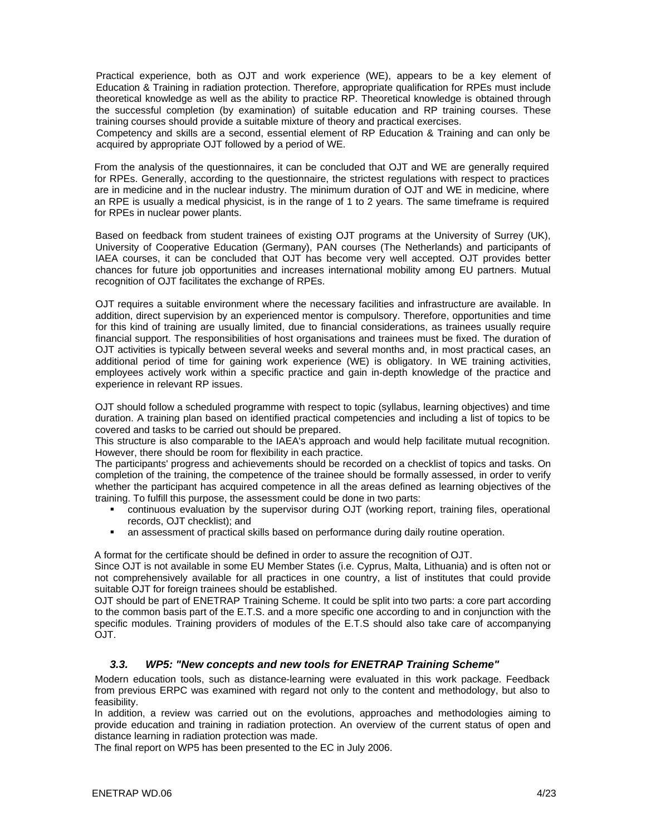Practical experience, both as OJT and work experience (WE), appears to be a key element of Education & Training in radiation protection. Therefore, appropriate qualification for RPEs must include theoretical knowledge as well as the ability to practice RP. Theoretical knowledge is obtained through the successful completion (by examination) of suitable education and RP training courses. These training courses should provide a suitable mixture of theory and practical exercises.

Competency and skills are a second, essential element of RP Education & Training and can only be acquired by appropriate OJT followed by a period of WE.

From the analysis of the questionnaires, it can be concluded that OJT and WE are generally required for RPEs. Generally, according to the questionnaire, the strictest regulations with respect to practices are in medicine and in the nuclear industry. The minimum duration of OJT and WE in medicine, where an RPE is usually a medical physicist, is in the range of 1 to 2 years. The same timeframe is required for RPEs in nuclear power plants.

Based on feedback from student trainees of existing OJT programs at the University of Surrey (UK), University of Cooperative Education (Germany), PAN courses (The Netherlands) and participants of IAEA courses, it can be concluded that OJT has become very well accepted. OJT provides better chances for future job opportunities and increases international mobility among EU partners. Mutual recognition of OJT facilitates the exchange of RPEs.

OJT requires a suitable environment where the necessary facilities and infrastructure are available. In addition, direct supervision by an experienced mentor is compulsory. Therefore, opportunities and time for this kind of training are usually limited, due to financial considerations, as trainees usually require financial support. The responsibilities of host organisations and trainees must be fixed. The duration of OJT activities is typically between several weeks and several months and, in most practical cases, an additional period of time for gaining work experience (WE) is obligatory. In WE training activities, employees actively work within a specific practice and gain in-depth knowledge of the practice and experience in relevant RP issues.

OJT should follow a scheduled programme with respect to topic (syllabus, learning objectives) and time duration. A training plan based on identified practical competencies and including a list of topics to be covered and tasks to be carried out should be prepared.

This structure is also comparable to the IAEA's approach and would help facilitate mutual recognition. However, there should be room for flexibility in each practice.

The participants' progress and achievements should be recorded on a checklist of topics and tasks. On completion of the training, the competence of the trainee should be formally assessed, in order to verify whether the participant has acquired competence in all the areas defined as learning objectives of the training. To fulfill this purpose, the assessment could be done in two parts:

- continuous evaluation by the supervisor during OJT (working report, training files, operational records, OJT checklist); and
- an assessment of practical skills based on performance during daily routine operation.

A format for the certificate should be defined in order to assure the recognition of OJT.

Since OJT is not available in some EU Member States (i.e. Cyprus, Malta, Lithuania) and is often not or not comprehensively available for all practices in one country, a list of institutes that could provide suitable OJT for foreign trainees should be established.

OJT should be part of ENETRAP Training Scheme. It could be split into two parts: a core part according to the common basis part of the E.T.S. and a more specific one according to and in conjunction with the specific modules. Training providers of modules of the E.T.S should also take care of accompanying OJT.

#### *3.3. WP5: "New concepts and new tools for ENETRAP Training Scheme"*

Modern education tools, such as distance-learning were evaluated in this work package. Feedback from previous ERPC was examined with regard not only to the content and methodology, but also to feasibility.

In addition, a review was carried out on the evolutions, approaches and methodologies aiming to provide education and training in radiation protection. An overview of the current status of open and distance learning in radiation protection was made.

The final report on WP5 has been presented to the EC in July 2006.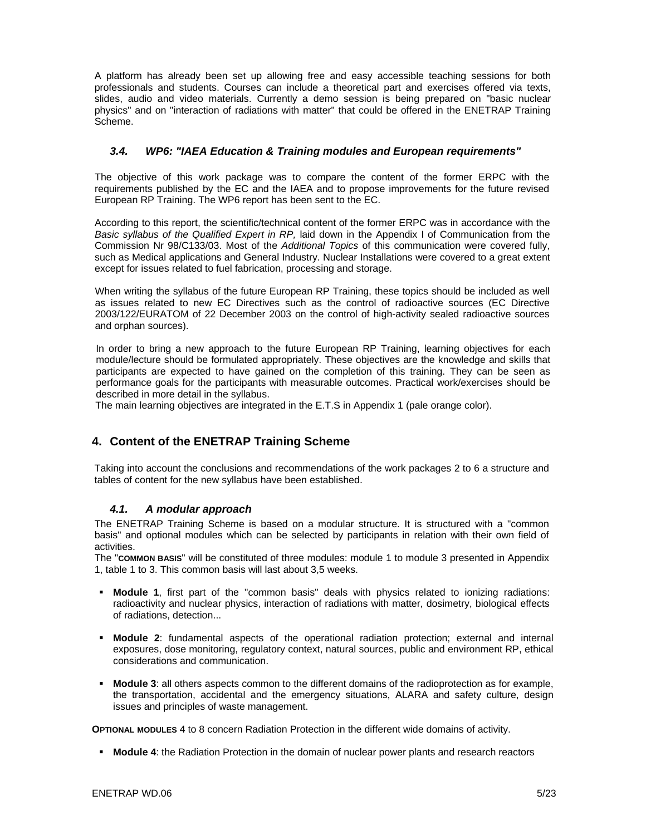A platform has already been set up allowing free and easy accessible teaching sessions for both professionals and students. Courses can include a theoretical part and exercises offered via texts, slides, audio and video materials. Currently a demo session is being prepared on "basic nuclear physics" and on "interaction of radiations with matter" that could be offered in the ENETRAP Training Scheme.

#### *3.4. WP6: "IAEA Education & Training modules and European requirements"*

The objective of this work package was to compare the content of the former ERPC with the requirements published by the EC and the IAEA and to propose improvements for the future revised European RP Training. The WP6 report has been sent to the EC.

According to this report, the scientific/technical content of the former ERPC was in accordance with the *Basic syllabus of the Qualified Expert in RP,* laid down in the Appendix I of Communication from the Commission Nr 98/C133/03. Most of the *Additional Topics* of this communication were covered fully, such as Medical applications and General Industry. Nuclear Installations were covered to a great extent except for issues related to fuel fabrication, processing and storage.

When writing the syllabus of the future European RP Training, these topics should be included as well as issues related to new EC Directives such as the control of radioactive sources (EC Directive 2003/122/EURATOM of 22 December 2003 on the control of high-activity sealed radioactive sources and orphan sources).

In order to bring a new approach to the future European RP Training, learning objectives for each module/lecture should be formulated appropriately. These objectives are the knowledge and skills that participants are expected to have gained on the completion of this training. They can be seen as performance goals for the participants with measurable outcomes. Practical work/exercises should be described in more detail in the syllabus.

The main learning objectives are integrated in the E.T.S in Appendix 1 (pale orange color).

### **4. Content of the ENETRAP Training Scheme**

Taking into account the conclusions and recommendations of the work packages 2 to 6 a structure and tables of content for the new syllabus have been established.

#### *4.1. A modular approach*

The ENETRAP Training Scheme is based on a modular structure. It is structured with a "common basis" and optional modules which can be selected by participants in relation with their own field of activities.

The "**COMMON BASIS**" will be constituted of three modules: module 1 to module 3 presented in Appendix 1, table 1 to 3. This common basis will last about 3,5 weeks.

- **Module 1**, first part of the "common basis" deals with physics related to ionizing radiations: radioactivity and nuclear physics, interaction of radiations with matter, dosimetry, biological effects of radiations, detection...
- **Module 2**: fundamental aspects of the operational radiation protection; external and internal exposures, dose monitoring, regulatory context, natural sources, public and environment RP, ethical considerations and communication.
- **Module 3**: all others aspects common to the different domains of the radioprotection as for example, the transportation, accidental and the emergency situations, ALARA and safety culture, design issues and principles of waste management.

**OPTIONAL MODULES** 4 to 8 concern Radiation Protection in the different wide domains of activity.

**Module 4**: the Radiation Protection in the domain of nuclear power plants and research reactors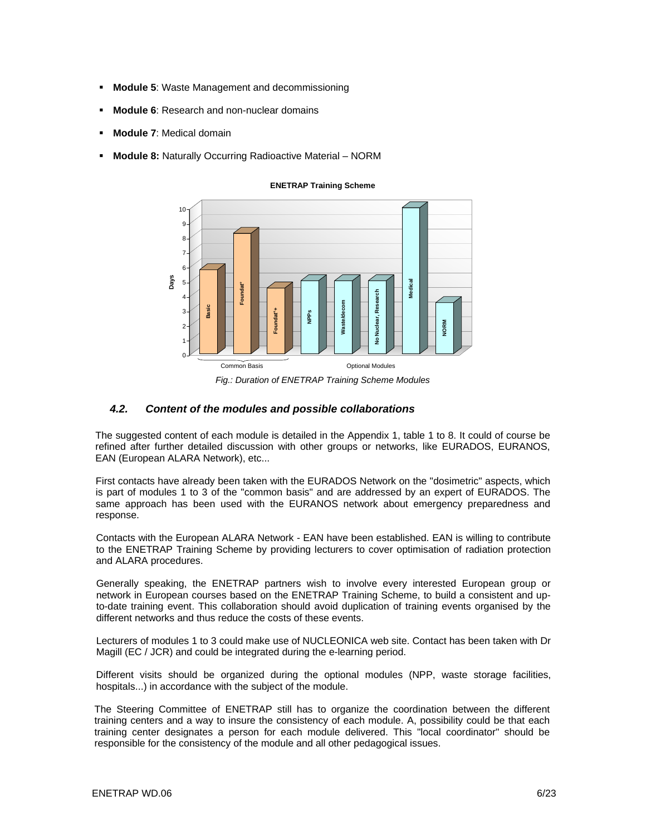- **Module 5**: Waste Management and decommissioning
- **Module 6**: Research and non-nuclear domains
- **Module 7**: Medical domain
- **Module 8:** Naturally Occurring Radioactive Material NORM



**ENETRAP Training Scheme**

*Fig.: Duration of ENETRAP Training Scheme Modules* 

#### *4.2. Content of the modules and possible collaborations*

The suggested content of each module is detailed in the Appendix 1, table 1 to 8. It could of course be refined after further detailed discussion with other groups or networks, like EURADOS, EURANOS, EAN (European ALARA Network), etc...

First contacts have already been taken with the EURADOS Network on the "dosimetric" aspects, which is part of modules 1 to 3 of the "common basis" and are addressed by an expert of EURADOS. The same approach has been used with the EURANOS network about emergency preparedness and response.

Contacts with the European ALARA Network - EAN have been established. EAN is willing to contribute to the ENETRAP Training Scheme by providing lecturers to cover optimisation of radiation protection and ALARA procedures.

Generally speaking, the ENETRAP partners wish to involve every interested European group or network in European courses based on the ENETRAP Training Scheme, to build a consistent and upto-date training event. This collaboration should avoid duplication of training events organised by the different networks and thus reduce the costs of these events.

Lecturers of modules 1 to 3 could make use of NUCLEONICA web site. Contact has been taken with Dr Magill (EC / JCR) and could be integrated during the e-learning period.

Different visits should be organized during the optional modules (NPP, waste storage facilities, hospitals...) in accordance with the subject of the module.

The Steering Committee of ENETRAP still has to organize the coordination between the different training centers and a way to insure the consistency of each module. A, possibility could be that each training center designates a person for each module delivered. This "local coordinator" should be responsible for the consistency of the module and all other pedagogical issues.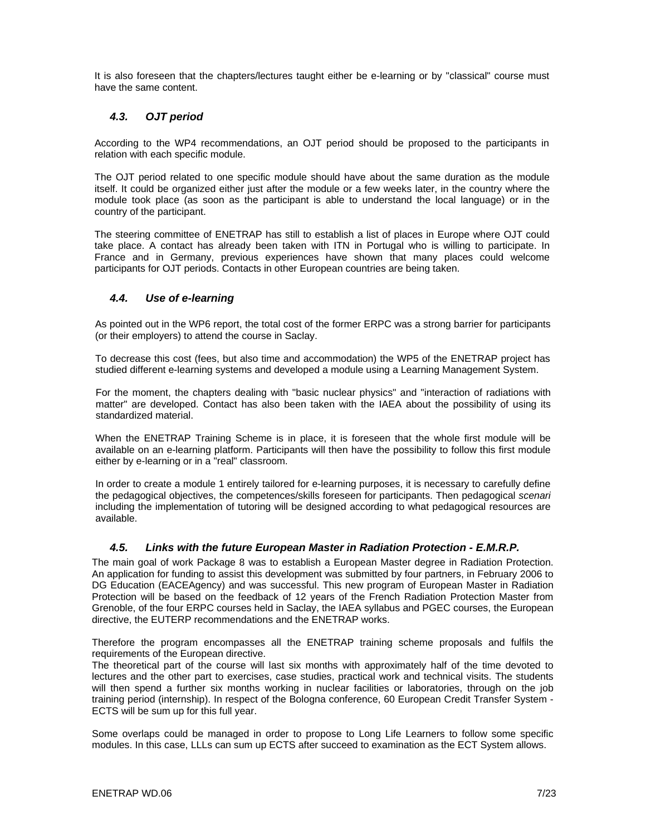It is also foreseen that the chapters/lectures taught either be e-learning or by "classical" course must have the same content.

### *4.3. OJT period*

According to the WP4 recommendations, an OJT period should be proposed to the participants in relation with each specific module.

The OJT period related to one specific module should have about the same duration as the module itself. It could be organized either just after the module or a few weeks later, in the country where the module took place (as soon as the participant is able to understand the local language) or in the country of the participant.

The steering committee of ENETRAP has still to establish a list of places in Europe where OJT could take place. A contact has already been taken with ITN in Portugal who is willing to participate. In France and in Germany, previous experiences have shown that many places could welcome participants for OJT periods. Contacts in other European countries are being taken.

#### *4.4. Use of e-learning*

As pointed out in the WP6 report, the total cost of the former ERPC was a strong barrier for participants (or their employers) to attend the course in Saclay.

To decrease this cost (fees, but also time and accommodation) the WP5 of the ENETRAP project has studied different e-learning systems and developed a module using a Learning Management System.

For the moment, the chapters dealing with "basic nuclear physics" and "interaction of radiations with matter" are developed. Contact has also been taken with the IAEA about the possibility of using its standardized material.

When the ENETRAP Training Scheme is in place, it is foreseen that the whole first module will be available on an e-learning platform. Participants will then have the possibility to follow this first module either by e-learning or in a "real" classroom.

In order to create a module 1 entirely tailored for e-learning purposes, it is necessary to carefully define the pedagogical objectives, the competences/skills foreseen for participants. Then pedagogical *scenari*  including the implementation of tutoring will be designed according to what pedagogical resources are available.

#### *4.5. Links with the future European Master in Radiation Protection - E.M.R.P.*

The main goal of work Package 8 was to establish a European Master degree in Radiation Protection. An application for funding to assist this development was submitted by four partners, in February 2006 to DG Education (EACEAgency) and was successful. This new program of European Master in Radiation Protection will be based on the feedback of 12 years of the French Radiation Protection Master from Grenoble, of the four ERPC courses held in Saclay, the IAEA syllabus and PGEC courses, the European directive, the EUTERP recommendations and the ENETRAP works.

Therefore the program encompasses all the ENETRAP training scheme proposals and fulfils the requirements of the European directive.

The theoretical part of the course will last six months with approximately half of the time devoted to lectures and the other part to exercises, case studies, practical work and technical visits. The students will then spend a further six months working in nuclear facilities or laboratories, through on the job training period (internship). In respect of the Bologna conference, 60 European Credit Transfer System - ECTS will be sum up for this full year.

Some overlaps could be managed in order to propose to Long Life Learners to follow some specific modules. In this case, LLLs can sum up ECTS after succeed to examination as the ECT System allows.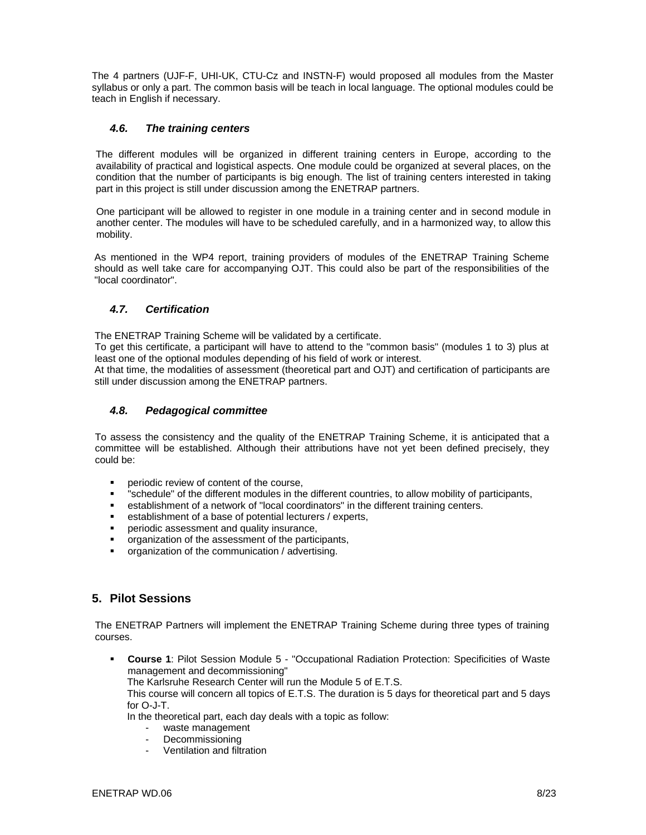The 4 partners (UJF-F, UHI-UK, CTU-Cz and INSTN-F) would proposed all modules from the Master syllabus or only a part. The common basis will be teach in local language. The optional modules could be teach in English if necessary.

### *4.6. The training centers*

The different modules will be organized in different training centers in Europe, according to the availability of practical and logistical aspects. One module could be organized at several places, on the condition that the number of participants is big enough. The list of training centers interested in taking part in this project is still under discussion among the ENETRAP partners.

One participant will be allowed to register in one module in a training center and in second module in another center. The modules will have to be scheduled carefully, and in a harmonized way, to allow this mobility.

As mentioned in the WP4 report, training providers of modules of the ENETRAP Training Scheme should as well take care for accompanying OJT. This could also be part of the responsibilities of the "local coordinator".

#### *4.7. Certification*

The ENETRAP Training Scheme will be validated by a certificate.

To get this certificate, a participant will have to attend to the "common basis" (modules 1 to 3) plus at least one of the optional modules depending of his field of work or interest.

At that time, the modalities of assessment (theoretical part and OJT) and certification of participants are still under discussion among the ENETRAP partners.

#### *4.8. Pedagogical committee*

To assess the consistency and the quality of the ENETRAP Training Scheme, it is anticipated that a committee will be established. Although their attributions have not yet been defined precisely, they could be:

- periodic review of content of the course,
- "schedule" of the different modules in the different countries, to allow mobility of participants,
- establishment of a network of "local coordinators" in the different training centers.
- establishment of a base of potential lecturers / experts,
- periodic assessment and quality insurance,
- organization of the assessment of the participants,
- organization of the communication / advertising.

### **5. Pilot Sessions**

The ENETRAP Partners will implement the ENETRAP Training Scheme during three types of training courses.

 **Course 1**: Pilot Session Module 5 - "Occupational Radiation Protection: Specificities of Waste management and decommissioning"

The Karlsruhe Research Center will run the Module 5 of E.T.S.

This course will concern all topics of E.T.S. The duration is 5 days for theoretical part and 5 days for O-J-T.

In the theoretical part, each day deals with a topic as follow:

- waste management
- **Decommissioning**
- Ventilation and filtration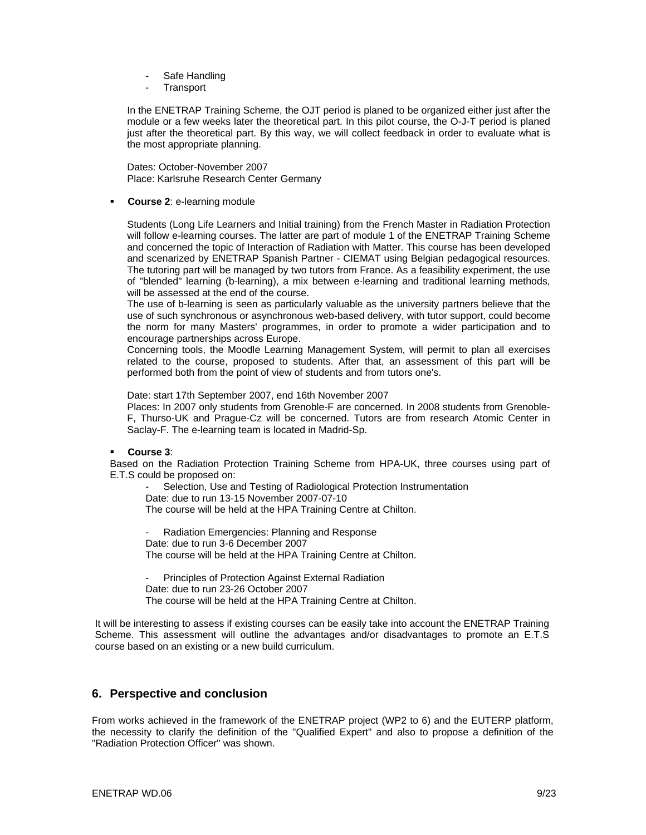- Safe Handling
- **Transport**

In the ENETRAP Training Scheme, the OJT period is planed to be organized either just after the module or a few weeks later the theoretical part. In this pilot course, the O-J-T period is planed just after the theoretical part. By this way, we will collect feedback in order to evaluate what is the most appropriate planning.

Dates: October-November 2007 Place: Karlsruhe Research Center Germany

**Course 2**: e-learning module

Students (Long Life Learners and Initial training) from the French Master in Radiation Protection will follow e-learning courses. The latter are part of module 1 of the ENETRAP Training Scheme and concerned the topic of Interaction of Radiation with Matter. This course has been developed and scenarized by ENETRAP Spanish Partner - CIEMAT using Belgian pedagogical resources. The tutoring part will be managed by two tutors from France. As a feasibility experiment, the use of "blended" learning (b-learning), a mix between e-learning and traditional learning methods, will be assessed at the end of the course.

The use of b-learning is seen as particularly valuable as the university partners believe that the use of such synchronous or asynchronous web-based delivery, with tutor support, could become the norm for many Masters' programmes, in order to promote a wider participation and to encourage partnerships across Europe.

Concerning tools, the Moodle Learning Management System, will permit to plan all exercises related to the course, proposed to students. After that, an assessment of this part will be performed both from the point of view of students and from tutors one's.

Date: start 17th September 2007, end 16th November 2007

Places: In 2007 only students from Grenoble-F are concerned. In 2008 students from Grenoble-F, Thurso-UK and Prague-Cz will be concerned. Tutors are from research Atomic Center in Saclay-F. The e-learning team is located in Madrid-Sp.

**Course 3**:

Based on the Radiation Protection Training Scheme from HPA-UK, three courses using part of E.T.S could be proposed on:

Selection, Use and Testing of Radiological Protection Instrumentation Date: due to run 13-15 November 2007-07-10 The course will be held at the HPA Training Centre at Chilton.

Radiation Emergencies: Planning and Response Date: due to run 3-6 December 2007 The course will be held at the HPA Training Centre at Chilton.

Principles of Protection Against External Radiation Date: due to run 23-26 October 2007 The course will be held at the HPA Training Centre at Chilton.

It will be interesting to assess if existing courses can be easily take into account the ENETRAP Training Scheme. This assessment will outline the advantages and/or disadvantages to promote an E.T.S course based on an existing or a new build curriculum.

### **6. Perspective and conclusion**

From works achieved in the framework of the ENETRAP project (WP2 to 6) and the EUTERP platform, the necessity to clarify the definition of the "Qualified Expert" and also to propose a definition of the "Radiation Protection Officer" was shown.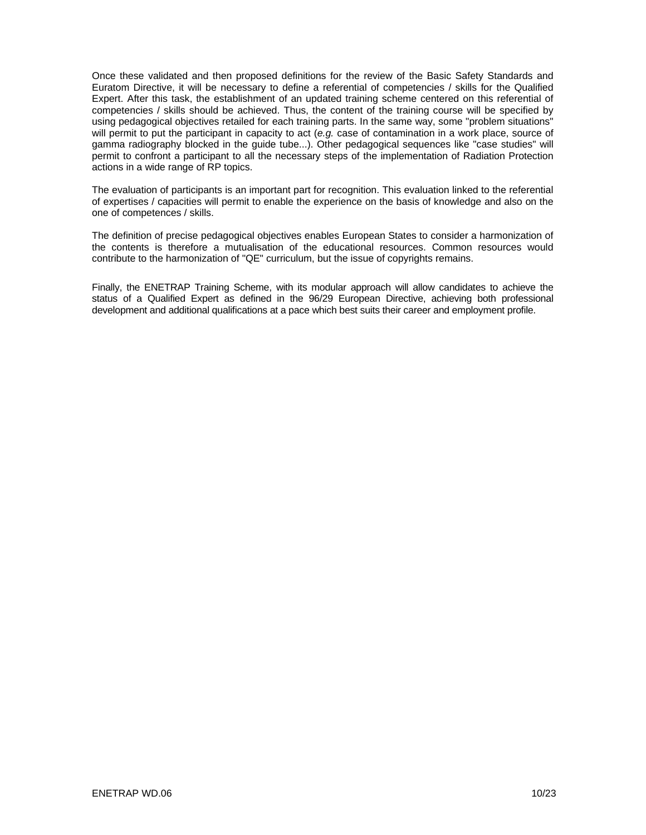Once these validated and then proposed definitions for the review of the Basic Safety Standards and Euratom Directive, it will be necessary to define a referential of competencies / skills for the Qualified Expert. After this task, the establishment of an updated training scheme centered on this referential of competencies / skills should be achieved. Thus, the content of the training course will be specified by using pedagogical objectives retailed for each training parts. In the same way, some "problem situations" will permit to put the participant in capacity to act (*e.g.* case of contamination in a work place, source of gamma radiography blocked in the guide tube...). Other pedagogical sequences like "case studies" will permit to confront a participant to all the necessary steps of the implementation of Radiation Protection actions in a wide range of RP topics.

The evaluation of participants is an important part for recognition. This evaluation linked to the referential of expertises / capacities will permit to enable the experience on the basis of knowledge and also on the one of competences / skills.

The definition of precise pedagogical objectives enables European States to consider a harmonization of the contents is therefore a mutualisation of the educational resources. Common resources would contribute to the harmonization of "QE" curriculum, but the issue of copyrights remains.

Finally, the ENETRAP Training Scheme, with its modular approach will allow candidates to achieve the status of a Qualified Expert as defined in the 96/29 European Directive, achieving both professional development and additional qualifications at a pace which best suits their career and employment profile.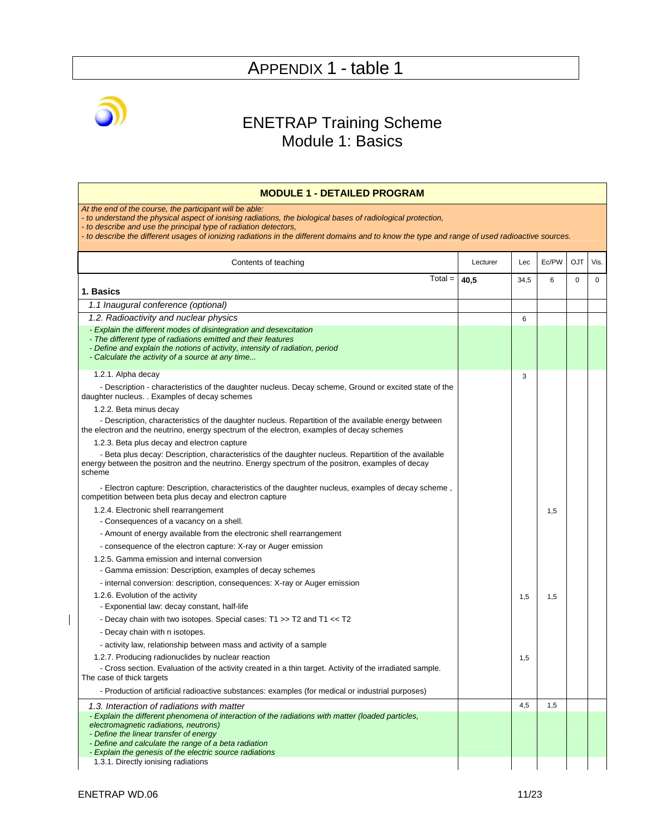

### ENETRAP Training Scheme Module 1: Basics

| <b>MODULE 1 - DETAILED PROGRAM</b>                                                                                                                                                                                                                                                                                                                                                            |          |      |       |             |             |
|-----------------------------------------------------------------------------------------------------------------------------------------------------------------------------------------------------------------------------------------------------------------------------------------------------------------------------------------------------------------------------------------------|----------|------|-------|-------------|-------------|
| At the end of the course, the participant will be able:<br>- to understand the physical aspect of ionising radiations, the biological bases of radiological protection,<br>- to describe and use the principal type of radiation detectors,<br>- to describe the different usages of ionizing radiations in the different domains and to know the type and range of used radioactive sources. |          |      |       |             |             |
| Contents of teaching                                                                                                                                                                                                                                                                                                                                                                          | Lecturer | Lec  | Ec/PW | <b>OJT</b>  | Vis.        |
| $Total =$                                                                                                                                                                                                                                                                                                                                                                                     | 40,5     | 34,5 | 6     | $\mathbf 0$ | $\mathbf 0$ |
| 1. Basics                                                                                                                                                                                                                                                                                                                                                                                     |          |      |       |             |             |
| 1.1 Inaugural conference (optional)                                                                                                                                                                                                                                                                                                                                                           |          |      |       |             |             |
| 1.2. Radioactivity and nuclear physics<br>- Explain the different modes of disintegration and desexcitation<br>- The different type of radiations emitted and their features<br>- Define and explain the notions of activity, intensity of radiation, period<br>- Calculate the activity of a source at any time                                                                              |          | 6    |       |             |             |
| 1.2.1. Alpha decay                                                                                                                                                                                                                                                                                                                                                                            |          | 3    |       |             |             |
| - Description - characteristics of the daughter nucleus. Decay scheme, Ground or excited state of the<br>daughter nucleus. . Examples of decay schemes                                                                                                                                                                                                                                        |          |      |       |             |             |
| 1.2.2. Beta minus decay                                                                                                                                                                                                                                                                                                                                                                       |          |      |       |             |             |
| - Description, characteristics of the daughter nucleus. Repartition of the available energy between<br>the electron and the neutrino, energy spectrum of the electron, examples of decay schemes                                                                                                                                                                                              |          |      |       |             |             |
| 1.2.3. Beta plus decay and electron capture                                                                                                                                                                                                                                                                                                                                                   |          |      |       |             |             |
| - Beta plus decay: Description, characteristics of the daughter nucleus. Repartition of the available<br>energy between the positron and the neutrino. Energy spectrum of the positron, examples of decay<br>scheme                                                                                                                                                                           |          |      |       |             |             |
| - Electron capture: Description, characteristics of the daughter nucleus, examples of decay scheme,<br>competition between beta plus decay and electron capture                                                                                                                                                                                                                               |          |      |       |             |             |
| 1.2.4. Electronic shell rearrangement                                                                                                                                                                                                                                                                                                                                                         |          |      | 1,5   |             |             |
| - Consequences of a vacancy on a shell.                                                                                                                                                                                                                                                                                                                                                       |          |      |       |             |             |
| - Amount of energy available from the electronic shell rearrangement                                                                                                                                                                                                                                                                                                                          |          |      |       |             |             |
| - consequence of the electron capture: X-ray or Auger emission                                                                                                                                                                                                                                                                                                                                |          |      |       |             |             |
| 1.2.5. Gamma emission and internal conversion<br>- Gamma emission: Description, examples of decay schemes                                                                                                                                                                                                                                                                                     |          |      |       |             |             |
| - internal conversion: description, consequences: X-ray or Auger emission                                                                                                                                                                                                                                                                                                                     |          |      |       |             |             |
| 1.2.6. Evolution of the activity                                                                                                                                                                                                                                                                                                                                                              |          | 1,5  | 1,5   |             |             |
| - Exponential law: decay constant, half-life                                                                                                                                                                                                                                                                                                                                                  |          |      |       |             |             |
| - Decay chain with two isotopes. Special cases: T1 >> T2 and T1 << T2                                                                                                                                                                                                                                                                                                                         |          |      |       |             |             |
| - Decay chain with n isotopes.                                                                                                                                                                                                                                                                                                                                                                |          |      |       |             |             |
| - activity law, relationship between mass and activity of a sample                                                                                                                                                                                                                                                                                                                            |          |      |       |             |             |
| 1.2.7. Producing radionuclides by nuclear reaction                                                                                                                                                                                                                                                                                                                                            |          | 1,5  |       |             |             |
| - Cross section. Evaluation of the activity created in a thin target. Activity of the irradiated sample.<br>The case of thick targets                                                                                                                                                                                                                                                         |          |      |       |             |             |
| - Production of artificial radioactive substances: examples (for medical or industrial purposes)                                                                                                                                                                                                                                                                                              |          |      |       |             |             |
| 1.3. Interaction of radiations with matter                                                                                                                                                                                                                                                                                                                                                    |          | 4,5  | 1,5   |             |             |
| - Explain the different phenomena of interaction of the radiations with matter (loaded particles,<br>electromagnetic radiations, neutrons)                                                                                                                                                                                                                                                    |          |      |       |             |             |
| - Define the linear transfer of energy                                                                                                                                                                                                                                                                                                                                                        |          |      |       |             |             |
| - Define and calculate the range of a beta radiation                                                                                                                                                                                                                                                                                                                                          |          |      |       |             |             |
| - Explain the genesis of the electric source radiations<br>1.3.1. Directly ionising radiations                                                                                                                                                                                                                                                                                                |          |      |       |             |             |
|                                                                                                                                                                                                                                                                                                                                                                                               |          |      |       |             |             |

 $\begin{array}{c} \hline \end{array}$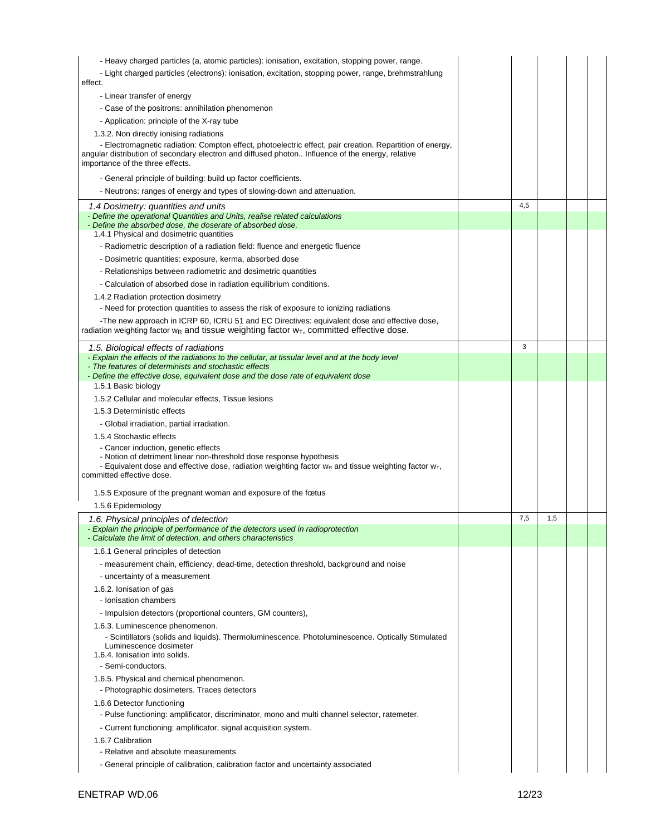| - Heavy charged particles (a, atomic particles): ionisation, excitation, stopping power, range.                                                                                                                                                  |     |     |  |
|--------------------------------------------------------------------------------------------------------------------------------------------------------------------------------------------------------------------------------------------------|-----|-----|--|
| - Light charged particles (electrons): ionisation, excitation, stopping power, range, brehmstrahlung<br>effect.                                                                                                                                  |     |     |  |
| - Linear transfer of energy                                                                                                                                                                                                                      |     |     |  |
| - Case of the positrons: annihilation phenomenon                                                                                                                                                                                                 |     |     |  |
| - Application: principle of the X-ray tube                                                                                                                                                                                                       |     |     |  |
| 1.3.2. Non directly ionising radiations                                                                                                                                                                                                          |     |     |  |
| - Electromagnetic radiation: Compton effect, photoelectric effect, pair creation. Repartition of energy,<br>angular distribution of secondary electron and diffused photon Influence of the energy, relative<br>importance of the three effects. |     |     |  |
| - General principle of building: build up factor coefficients.                                                                                                                                                                                   |     |     |  |
| - Neutrons: ranges of energy and types of slowing-down and attenuation.                                                                                                                                                                          |     |     |  |
| 1.4 Dosimetry: quantities and units                                                                                                                                                                                                              | 4,5 |     |  |
| - Define the operational Quantities and Units, realise related calculations<br>- Define the absorbed dose, the doserate of absorbed dose.<br>1.4.1 Physical and dosimetric quantities                                                            |     |     |  |
| - Radiometric description of a radiation field: fluence and energetic fluence                                                                                                                                                                    |     |     |  |
| - Dosimetric quantities: exposure, kerma, absorbed dose                                                                                                                                                                                          |     |     |  |
| - Relationships between radiometric and dosimetric quantities                                                                                                                                                                                    |     |     |  |
|                                                                                                                                                                                                                                                  |     |     |  |
| - Calculation of absorbed dose in radiation equilibrium conditions.                                                                                                                                                                              |     |     |  |
| 1.4.2 Radiation protection dosimetry<br>- Need for protection quantities to assess the risk of exposure to ionizing radiations                                                                                                                   |     |     |  |
| -The new approach in ICRP 60, ICRU 51 and EC Directives: equivalent dose and effective dose,                                                                                                                                                     |     |     |  |
| radiation weighting factor $w_R$ and tissue weighting factor $w_T$ , committed effective dose.                                                                                                                                                   |     |     |  |
| 1.5. Biological effects of radiations                                                                                                                                                                                                            | 3   |     |  |
| - Explain the effects of the radiations to the cellular, at tissular level and at the body level<br>- The features of determinists and stochastic effects                                                                                        |     |     |  |
| - Define the effective dose, equivalent dose and the dose rate of equivalent dose<br>1.5.1 Basic biology                                                                                                                                         |     |     |  |
| 1.5.2 Cellular and molecular effects, Tissue lesions                                                                                                                                                                                             |     |     |  |
| 1.5.3 Deterministic effects                                                                                                                                                                                                                      |     |     |  |
| - Global irradiation, partial irradiation.                                                                                                                                                                                                       |     |     |  |
| 1.5.4 Stochastic effects                                                                                                                                                                                                                         |     |     |  |
| - Cancer induction, genetic effects                                                                                                                                                                                                              |     |     |  |
| - Notion of detriment linear non-threshold dose response hypothesis                                                                                                                                                                              |     |     |  |
| - Equivalent dose and effective dose, radiation weighting factor $w_R$ and tissue weighting factor $w_T$ ,                                                                                                                                       |     |     |  |
| committed effective dose.                                                                                                                                                                                                                        |     |     |  |
| 1.5.5 Exposure of the pregnant woman and exposure of the fœtus                                                                                                                                                                                   |     |     |  |
| 1.5.6 Epidemiology                                                                                                                                                                                                                               |     |     |  |
| 1.6. Physical principles of detection                                                                                                                                                                                                            | 7,5 | 1,5 |  |
| - Explain the principle of performance of the detectors used in radioprotection                                                                                                                                                                  |     |     |  |
| - Calculate the limit of detection, and others characteristics                                                                                                                                                                                   |     |     |  |
| 1.6.1 General principles of detection                                                                                                                                                                                                            |     |     |  |
| - measurement chain, efficiency, dead-time, detection threshold, background and noise                                                                                                                                                            |     |     |  |
| - uncertainty of a measurement                                                                                                                                                                                                                   |     |     |  |
| 1.6.2. Ionisation of gas                                                                                                                                                                                                                         |     |     |  |
| - Ionisation chambers                                                                                                                                                                                                                            |     |     |  |
| - Impulsion detectors (proportional counters, GM counters),                                                                                                                                                                                      |     |     |  |
| 1.6.3. Luminescence phenomenon.<br>- Scintillators (solids and liquids). Thermoluminescence. Photoluminescence. Optically Stimulated                                                                                                             |     |     |  |
| Luminescence dosimeter<br>1.6.4. Ionisation into solids.                                                                                                                                                                                         |     |     |  |
| - Semi-conductors.                                                                                                                                                                                                                               |     |     |  |
| 1.6.5. Physical and chemical phenomenon.                                                                                                                                                                                                         |     |     |  |
| - Photographic dosimeters. Traces detectors                                                                                                                                                                                                      |     |     |  |
| 1.6.6 Detector functioning                                                                                                                                                                                                                       |     |     |  |
| - Pulse functioning: amplificator, discriminator, mono and multi channel selector, ratemeter.                                                                                                                                                    |     |     |  |
| - Current functioning: amplificator, signal acquisition system.                                                                                                                                                                                  |     |     |  |
| 1.6.7 Calibration                                                                                                                                                                                                                                |     |     |  |
|                                                                                                                                                                                                                                                  |     |     |  |
| - Relative and absolute measurements                                                                                                                                                                                                             |     |     |  |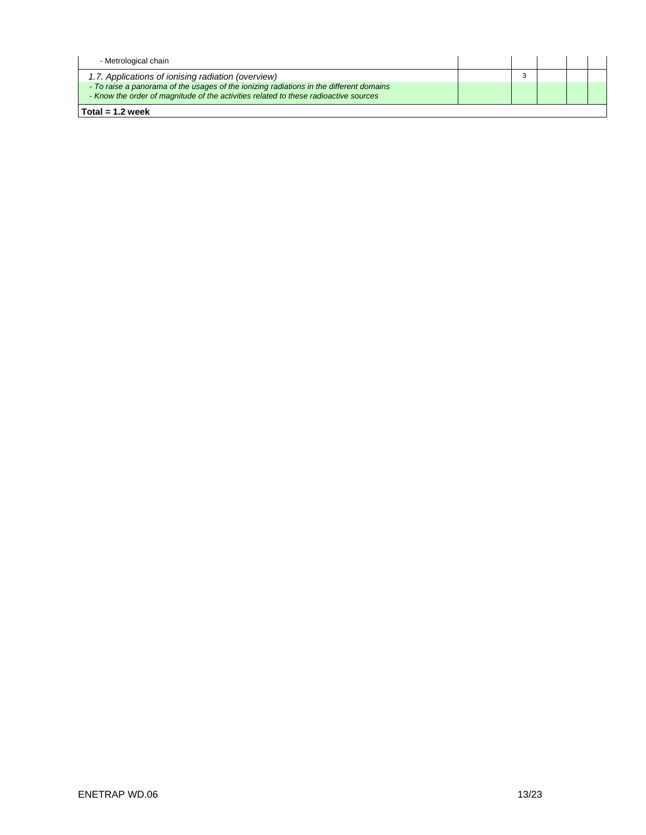| Total = $1.2$ week                                                                                                                                                              |  |  |  |
|---------------------------------------------------------------------------------------------------------------------------------------------------------------------------------|--|--|--|
| - To raise a panorama of the usages of the ionizing radiations in the different domains<br>- Know the order of magnitude of the activities related to these radioactive sources |  |  |  |
| 1.7. Applications of ionising radiation (overview)                                                                                                                              |  |  |  |
| - Metrological chain                                                                                                                                                            |  |  |  |
|                                                                                                                                                                                 |  |  |  |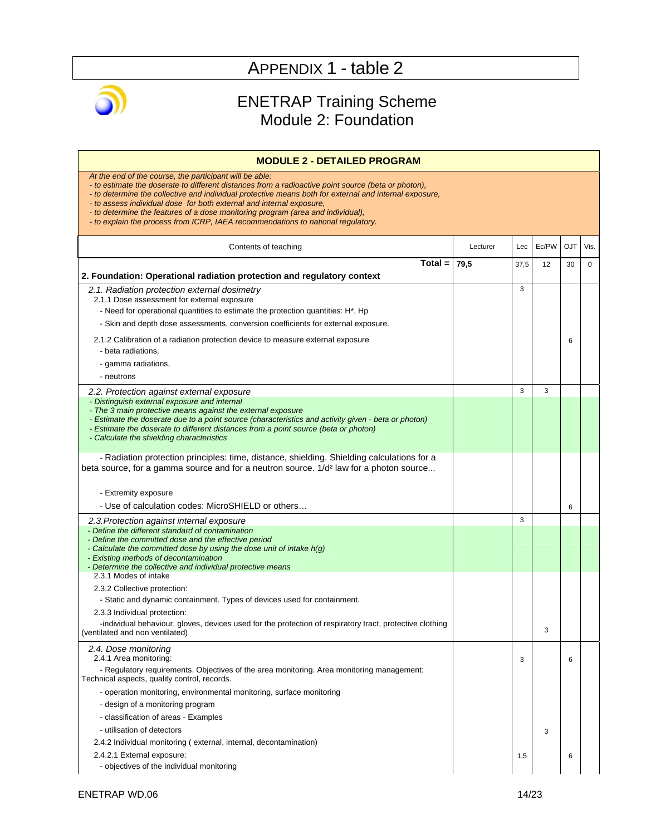

### ENETRAP Training Scheme Module 2: Foundation

| <b>MODULE 2 - DETAILED PROGRAM</b>                                                                                                                                                                                                                                                                                                                                                                                                                                                                                      |          |      |       |            |             |
|-------------------------------------------------------------------------------------------------------------------------------------------------------------------------------------------------------------------------------------------------------------------------------------------------------------------------------------------------------------------------------------------------------------------------------------------------------------------------------------------------------------------------|----------|------|-------|------------|-------------|
| At the end of the course, the participant will be able:<br>- to estimate the doserate to different distances from a radioactive point source (beta or photon),<br>- to determine the collective and individual protective means both for external and internal exposure,<br>- to assess individual dose for both external and internal exposure,<br>- to determine the features of a dose monitoring program (area and individual),<br>- to explain the process from ICRP, IAEA recommendations to national regulatory. |          |      |       |            |             |
| Contents of teaching                                                                                                                                                                                                                                                                                                                                                                                                                                                                                                    | Lecturer | Lec  | Ec/PW | <b>OJT</b> | Vis.        |
| $Total =$<br>2. Foundation: Operational radiation protection and regulatory context                                                                                                                                                                                                                                                                                                                                                                                                                                     | 79,5     | 37,5 | 12    | 30         | $\mathbf 0$ |
| 2.1. Radiation protection external dosimetry<br>2.1.1 Dose assessment for external exposure<br>- Need for operational quantities to estimate the protection quantities: H*, Hp<br>- Skin and depth dose assessments, conversion coefficients for external exposure.<br>2.1.2 Calibration of a radiation protection device to measure external exposure<br>- beta radiations,<br>- gamma radiations,                                                                                                                     |          | 3    |       | 6          |             |
| - neutrons                                                                                                                                                                                                                                                                                                                                                                                                                                                                                                              |          |      |       |            |             |
| 2.2. Protection against external exposure                                                                                                                                                                                                                                                                                                                                                                                                                                                                               |          | 3    | 3     |            |             |
| - Distinguish external exposure and internal<br>- The 3 main protective means against the external exposure<br>- Estimate the doserate due to a point source (characteristics and activity given - beta or photon)<br>- Estimate the doserate to different distances from a point source (beta or photon)<br>- Calculate the shielding characteristics                                                                                                                                                                  |          |      |       |            |             |
| - Radiation protection principles: time, distance, shielding. Shielding calculations for a<br>beta source, for a gamma source and for a neutron source. 1/d <sup>2</sup> law for a photon source<br>- Extremity exposure<br>- Use of calculation codes: MicroSHIELD or others                                                                                                                                                                                                                                           |          |      |       | 6          |             |
| 2.3. Protection against internal exposure                                                                                                                                                                                                                                                                                                                                                                                                                                                                               |          | 3    |       |            |             |
| - Define the different standard of contamination<br>- Define the committed dose and the effective period<br>- Calculate the committed dose by using the dose unit of intake h(g)<br>- Existing methods of decontamination<br>- Determine the collective and individual protective means<br>2.3.1 Modes of intake                                                                                                                                                                                                        |          |      |       |            |             |
| 2.3.2 Collective protection:<br>- Static and dynamic containment. Types of devices used for containment.<br>2.3.3 Individual protection:<br>-individual behaviour, gloves, devices used for the protection of respiratory tract, protective clothing<br>(ventilated and non ventilated)                                                                                                                                                                                                                                 |          |      | 3     |            |             |
| 2.4. Dose monitoring<br>2.4.1 Area monitoring:<br>- Regulatory requirements. Objectives of the area monitoring. Area monitoring management:<br>Technical aspects, quality control, records.                                                                                                                                                                                                                                                                                                                             |          | 3    |       | 6          |             |
| - operation monitoring, environmental monitoring, surface monitoring<br>- design of a monitoring program<br>- classification of areas - Examples<br>- utilisation of detectors                                                                                                                                                                                                                                                                                                                                          |          |      | 3     |            |             |
| 2.4.2 Individual monitoring (external, internal, decontamination)<br>2.4.2.1 External exposure:<br>- objectives of the individual monitoring                                                                                                                                                                                                                                                                                                                                                                            |          | 1,5  |       | 6          |             |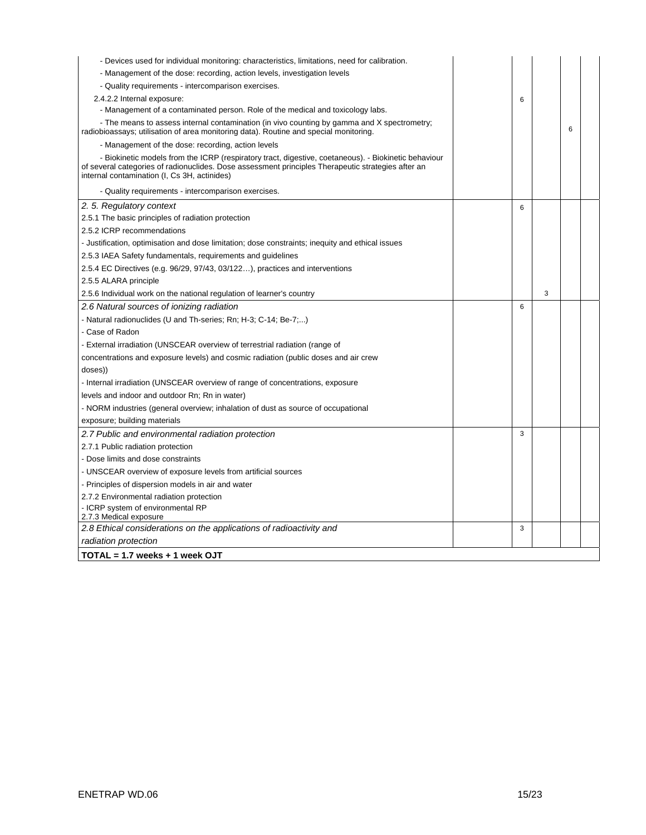| - Devices used for individual monitoring: characteristics, limitations, need for calibration.                                                                                                                                                              |   |   |   |  |
|------------------------------------------------------------------------------------------------------------------------------------------------------------------------------------------------------------------------------------------------------------|---|---|---|--|
| - Management of the dose: recording, action levels, investigation levels                                                                                                                                                                                   |   |   |   |  |
| - Quality requirements - intercomparison exercises.                                                                                                                                                                                                        |   |   |   |  |
| 2.4.2.2 Internal exposure:                                                                                                                                                                                                                                 | 6 |   |   |  |
| - Management of a contaminated person. Role of the medical and toxicology labs.                                                                                                                                                                            |   |   |   |  |
| - The means to assess internal contamination (in vivo counting by gamma and X spectrometry;<br>radiobioassays; utilisation of area monitoring data). Routine and special monitoring.                                                                       |   |   | 6 |  |
| - Management of the dose: recording, action levels                                                                                                                                                                                                         |   |   |   |  |
| - Biokinetic models from the ICRP (respiratory tract, digestive, coetaneous). - Biokinetic behaviour<br>of several categories of radionuclides. Dose assessment principles Therapeutic strategies after an<br>internal contamination (I, Cs 3H, actinides) |   |   |   |  |
| - Quality requirements - intercomparison exercises.                                                                                                                                                                                                        |   |   |   |  |
| 2.5. Regulatory context                                                                                                                                                                                                                                    | 6 |   |   |  |
| 2.5.1 The basic principles of radiation protection                                                                                                                                                                                                         |   |   |   |  |
| 2.5.2 ICRP recommendations                                                                                                                                                                                                                                 |   |   |   |  |
| - Justification, optimisation and dose limitation; dose constraints; inequity and ethical issues                                                                                                                                                           |   |   |   |  |
| 2.5.3 IAEA Safety fundamentals, requirements and guidelines                                                                                                                                                                                                |   |   |   |  |
| 2.5.4 EC Directives (e.g. 96/29, 97/43, 03/122), practices and interventions                                                                                                                                                                               |   |   |   |  |
| 2.5.5 ALARA principle                                                                                                                                                                                                                                      |   |   |   |  |
| 2.5.6 Individual work on the national regulation of learner's country                                                                                                                                                                                      |   | 3 |   |  |
| 2.6 Natural sources of ionizing radiation                                                                                                                                                                                                                  | 6 |   |   |  |
| - Natural radionuclides (U and Th-series; Rn; H-3; C-14; Be-7;)                                                                                                                                                                                            |   |   |   |  |
| - Case of Radon                                                                                                                                                                                                                                            |   |   |   |  |
| - External irradiation (UNSCEAR overview of terrestrial radiation (range of                                                                                                                                                                                |   |   |   |  |
| concentrations and exposure levels) and cosmic radiation (public doses and air crew                                                                                                                                                                        |   |   |   |  |
| doses))                                                                                                                                                                                                                                                    |   |   |   |  |
| - Internal irradiation (UNSCEAR overview of range of concentrations, exposure                                                                                                                                                                              |   |   |   |  |
| levels and indoor and outdoor Rn; Rn in water)                                                                                                                                                                                                             |   |   |   |  |
| - NORM industries (general overview; inhalation of dust as source of occupational                                                                                                                                                                          |   |   |   |  |
| exposure; building materials                                                                                                                                                                                                                               |   |   |   |  |
| 2.7 Public and environmental radiation protection                                                                                                                                                                                                          | 3 |   |   |  |
| 2.7.1 Public radiation protection                                                                                                                                                                                                                          |   |   |   |  |
| - Dose limits and dose constraints                                                                                                                                                                                                                         |   |   |   |  |
| - UNSCEAR overview of exposure levels from artificial sources                                                                                                                                                                                              |   |   |   |  |
| - Principles of dispersion models in air and water                                                                                                                                                                                                         |   |   |   |  |
| 2.7.2 Environmental radiation protection                                                                                                                                                                                                                   |   |   |   |  |
| - ICRP system of environmental RP<br>2.7.3 Medical exposure                                                                                                                                                                                                |   |   |   |  |
| 2.8 Ethical considerations on the applications of radioactivity and                                                                                                                                                                                        | 3 |   |   |  |
| radiation protection                                                                                                                                                                                                                                       |   |   |   |  |
| TOTAL = 1.7 weeks + 1 week OJT                                                                                                                                                                                                                             |   |   |   |  |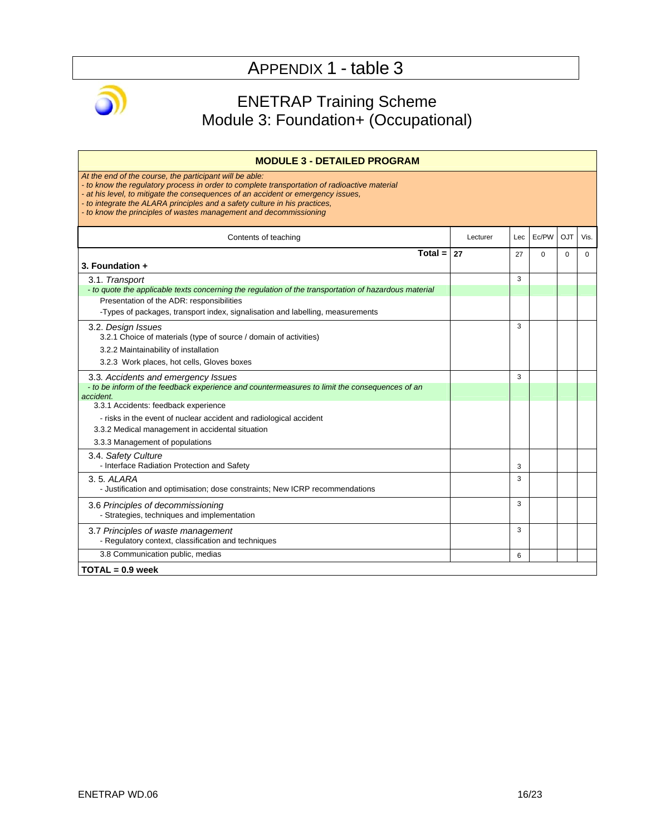

### ENETRAP Training Scheme Module 3: Foundation+ (Occupational)

| <b>MODULE 3 - DETAILED PROGRAM</b>                                                                                                                                                                                                                                                                                                                                                             |          |     |          |            |      |
|------------------------------------------------------------------------------------------------------------------------------------------------------------------------------------------------------------------------------------------------------------------------------------------------------------------------------------------------------------------------------------------------|----------|-----|----------|------------|------|
| At the end of the course, the participant will be able:<br>- to know the regulatory process in order to complete transportation of radioactive material<br>- at his level, to mitigate the consequences of an accident or emergency issues,<br>- to integrate the ALARA principles and a safety culture in his practices,<br>- to know the principles of wastes management and decommissioning |          |     |          |            |      |
| Contents of teaching                                                                                                                                                                                                                                                                                                                                                                           | Lecturer | Lec | Ec/PW    | <b>OJT</b> | Vis. |
| Total = $ 27$<br>3. Foundation +                                                                                                                                                                                                                                                                                                                                                               |          | 27  | $\Omega$ | $\Omega$   | 0    |
| 3.1. Transport                                                                                                                                                                                                                                                                                                                                                                                 |          | 3   |          |            |      |
| - to quote the applicable texts concerning the regulation of the transportation of hazardous material<br>Presentation of the ADR: responsibilities                                                                                                                                                                                                                                             |          |     |          |            |      |
| -Types of packages, transport index, signalisation and labelling, measurements                                                                                                                                                                                                                                                                                                                 |          |     |          |            |      |
| 3.2. Design Issues<br>3.2.1 Choice of materials (type of source / domain of activities)                                                                                                                                                                                                                                                                                                        |          | 3   |          |            |      |
| 3.2.2 Maintainability of installation                                                                                                                                                                                                                                                                                                                                                          |          |     |          |            |      |
| 3.2.3 Work places, hot cells, Gloves boxes                                                                                                                                                                                                                                                                                                                                                     |          |     |          |            |      |
| 3.3. Accidents and emergency Issues                                                                                                                                                                                                                                                                                                                                                            |          | 3   |          |            |      |
| - to be inform of the feedback experience and countermeasures to limit the consequences of an<br>accident.                                                                                                                                                                                                                                                                                     |          |     |          |            |      |
| 3.3.1 Accidents: feedback experience                                                                                                                                                                                                                                                                                                                                                           |          |     |          |            |      |
| - risks in the event of nuclear accident and radiological accident                                                                                                                                                                                                                                                                                                                             |          |     |          |            |      |
| 3.3.2 Medical management in accidental situation                                                                                                                                                                                                                                                                                                                                               |          |     |          |            |      |
| 3.3.3 Management of populations                                                                                                                                                                                                                                                                                                                                                                |          |     |          |            |      |
| 3.4. Safety Culture<br>- Interface Radiation Protection and Safety                                                                                                                                                                                                                                                                                                                             |          | 3   |          |            |      |
| 3.5. ALARA<br>- Justification and optimisation; dose constraints; New ICRP recommendations                                                                                                                                                                                                                                                                                                     |          | 3   |          |            |      |
| 3.6 Principles of decommissioning<br>- Strategies, techniques and implementation                                                                                                                                                                                                                                                                                                               |          | 3   |          |            |      |
| 3.7 Principles of waste management<br>- Regulatory context, classification and techniques                                                                                                                                                                                                                                                                                                      |          | 3   |          |            |      |
| 3.8 Communication public, medias                                                                                                                                                                                                                                                                                                                                                               |          | 6   |          |            |      |
| $TOTAL = 0.9$ week                                                                                                                                                                                                                                                                                                                                                                             |          |     |          |            |      |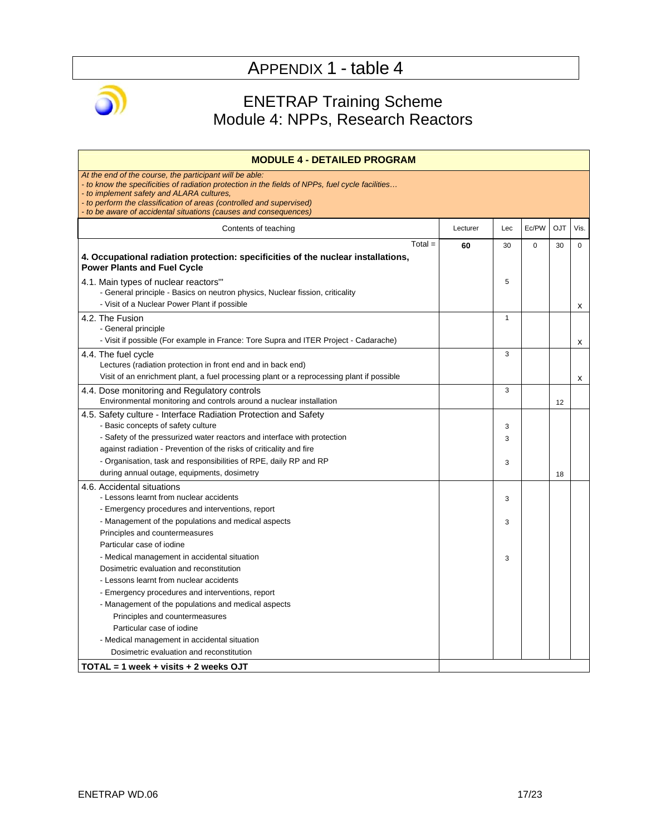

### ENETRAP Training Scheme Module 4: NPPs, Research Reactors

| Lecturer | Lec         | Ec/PW    | <b>OJT</b> | Vis.        |
|----------|-------------|----------|------------|-------------|
| 60       | 30          | $\Omega$ | 30         | $\mathbf 0$ |
|          | 5           |          |            | х           |
|          | 1           |          |            |             |
|          | 3           |          |            | x<br>x      |
|          | 3           |          | 12         |             |
|          | 3<br>3<br>3 |          | 18         |             |
|          | 3           |          |            |             |
|          | 3           |          |            |             |
|          | 3           |          |            |             |
|          |             |          |            |             |
|          |             |          |            |             |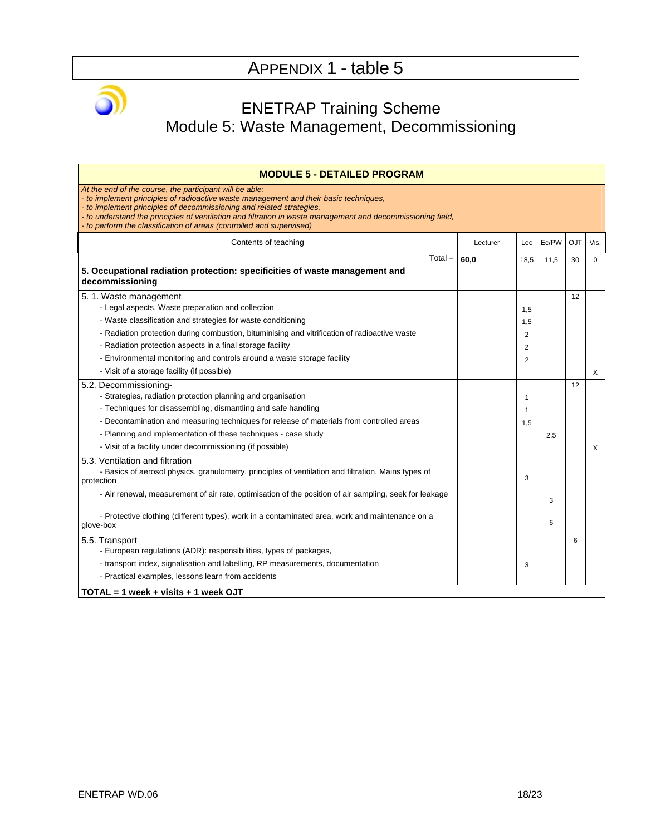### ENETRAP Training Scheme Module 5: Waste Management, Decommissioning

| <b>MODULE 5 - DETAILED PROGRAM</b>                                                                                                                                                                                                                                                                                                                                                                              |          |                |       |     |             |
|-----------------------------------------------------------------------------------------------------------------------------------------------------------------------------------------------------------------------------------------------------------------------------------------------------------------------------------------------------------------------------------------------------------------|----------|----------------|-------|-----|-------------|
| At the end of the course, the participant will be able:<br>- to implement principles of radioactive waste management and their basic techniques,<br>- to implement principles of decommissioning and related strategies.<br>- to understand the principles of ventilation and filtration in waste management and decommissioning field,<br>- to perform the classification of areas (controlled and supervised) |          |                |       |     |             |
| Contents of teaching                                                                                                                                                                                                                                                                                                                                                                                            | Lecturer | Lec            | Ec/PW | OJT | Vis.        |
| $Total =$<br>5. Occupational radiation protection: specificities of waste management and                                                                                                                                                                                                                                                                                                                        | 60,0     | 18,5           | 11,5  | 30  | $\mathbf 0$ |
| decommissioning                                                                                                                                                                                                                                                                                                                                                                                                 |          |                |       |     |             |
| 5. 1. Waste management                                                                                                                                                                                                                                                                                                                                                                                          |          |                |       | 12  |             |
| - Legal aspects, Waste preparation and collection                                                                                                                                                                                                                                                                                                                                                               |          | 1,5            |       |     |             |
| - Waste classification and strategies for waste conditioning                                                                                                                                                                                                                                                                                                                                                    |          | 1,5            |       |     |             |
| - Radiation protection during combustion, bituminising and vitrification of radioactive waste                                                                                                                                                                                                                                                                                                                   |          | 2              |       |     |             |
| - Radiation protection aspects in a final storage facility                                                                                                                                                                                                                                                                                                                                                      |          | 2              |       |     |             |
| - Environmental monitoring and controls around a waste storage facility                                                                                                                                                                                                                                                                                                                                         |          | $\overline{2}$ |       |     |             |
| - Visit of a storage facility (if possible)                                                                                                                                                                                                                                                                                                                                                                     |          |                |       |     | X           |
| 5.2. Decommissioning-                                                                                                                                                                                                                                                                                                                                                                                           |          |                |       | 12  |             |
| - Strategies, radiation protection planning and organisation                                                                                                                                                                                                                                                                                                                                                    |          | 1              |       |     |             |
| - Techniques for disassembling, dismantling and safe handling                                                                                                                                                                                                                                                                                                                                                   |          | 1              |       |     |             |
| - Decontamination and measuring techniques for release of materials from controlled areas                                                                                                                                                                                                                                                                                                                       |          | 1,5            |       |     |             |
| - Planning and implementation of these techniques - case study                                                                                                                                                                                                                                                                                                                                                  |          |                | 2,5   |     |             |
| - Visit of a facility under decommissioning (if possible)                                                                                                                                                                                                                                                                                                                                                       |          |                |       |     | X           |
| 5.3. Ventilation and filtration                                                                                                                                                                                                                                                                                                                                                                                 |          |                |       |     |             |
| - Basics of aerosol physics, granulometry, principles of ventilation and filtration, Mains types of<br>protection                                                                                                                                                                                                                                                                                               |          | 3              |       |     |             |
| - Air renewal, measurement of air rate, optimisation of the position of air sampling, seek for leakage                                                                                                                                                                                                                                                                                                          |          |                | 3     |     |             |
| - Protective clothing (different types), work in a contaminated area, work and maintenance on a<br>glove-box                                                                                                                                                                                                                                                                                                    |          |                | 6     |     |             |
| 5.5. Transport                                                                                                                                                                                                                                                                                                                                                                                                  |          |                |       | 6   |             |
| - European regulations (ADR): responsibilities, types of packages,                                                                                                                                                                                                                                                                                                                                              |          |                |       |     |             |
| - transport index, signalisation and labelling, RP measurements, documentation                                                                                                                                                                                                                                                                                                                                  |          | 3              |       |     |             |
| - Practical examples, lessons learn from accidents                                                                                                                                                                                                                                                                                                                                                              |          |                |       |     |             |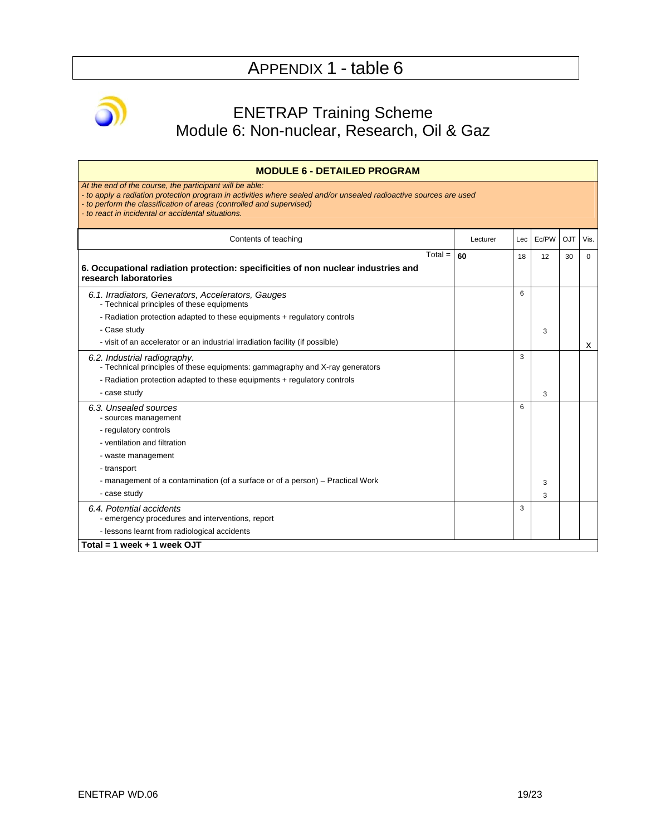

### ENETRAP Training Scheme Module 6: Non-nuclear, Research, Oil & Gaz

| <b>MODULE 6 - DETAILED PROGRAM</b>                                                                                                                                                                                                                                                                         |          |     |       |     |             |
|------------------------------------------------------------------------------------------------------------------------------------------------------------------------------------------------------------------------------------------------------------------------------------------------------------|----------|-----|-------|-----|-------------|
| At the end of the course, the participant will be able:<br>- to apply a radiation protection program in activities where sealed and/or unsealed radioactive sources are used<br>- to perform the classification of areas (controlled and supervised)<br>- to react in incidental or accidental situations. |          |     |       |     |             |
| Contents of teaching                                                                                                                                                                                                                                                                                       | Lecturer | Lec | Ec/PW | OJT | Vis.        |
| $Total =$<br>6. Occupational radiation protection: specificities of non nuclear industries and<br>research laboratories                                                                                                                                                                                    | 60       | 18  | 12    | 30  | $\mathbf 0$ |
| 6.1. Irradiators, Generators, Accelerators, Gauges<br>- Technical principles of these equipments                                                                                                                                                                                                           |          | 6   |       |     |             |
| - Radiation protection adapted to these equipments + regulatory controls<br>- Case study                                                                                                                                                                                                                   |          |     | 3     |     |             |
| - visit of an accelerator or an industrial irradiation facility (if possible)                                                                                                                                                                                                                              |          |     |       |     | x           |
| 6.2. Industrial radiography.<br>- Technical principles of these equipments: gammagraphy and X-ray generators                                                                                                                                                                                               |          | 3   |       |     |             |
| - Radiation protection adapted to these equipments + regulatory controls                                                                                                                                                                                                                                   |          |     |       |     |             |
| - case study                                                                                                                                                                                                                                                                                               |          |     | 3     |     |             |
| 6.3. Unsealed sources<br>- sources management<br>- regulatory controls                                                                                                                                                                                                                                     |          | 6   |       |     |             |
| - ventilation and filtration                                                                                                                                                                                                                                                                               |          |     |       |     |             |
| - waste management                                                                                                                                                                                                                                                                                         |          |     |       |     |             |
| - transport                                                                                                                                                                                                                                                                                                |          |     |       |     |             |
| - management of a contamination (of a surface or of a person) – Practical Work                                                                                                                                                                                                                             |          |     | 3     |     |             |
| - case study                                                                                                                                                                                                                                                                                               |          |     | 3     |     |             |
| 6.4. Potential accidents<br>- emergency procedures and interventions, report                                                                                                                                                                                                                               |          | 3   |       |     |             |
| - lessons learnt from radiological accidents                                                                                                                                                                                                                                                               |          |     |       |     |             |
| Total = $1$ week + $1$ week OJT                                                                                                                                                                                                                                                                            |          |     |       |     |             |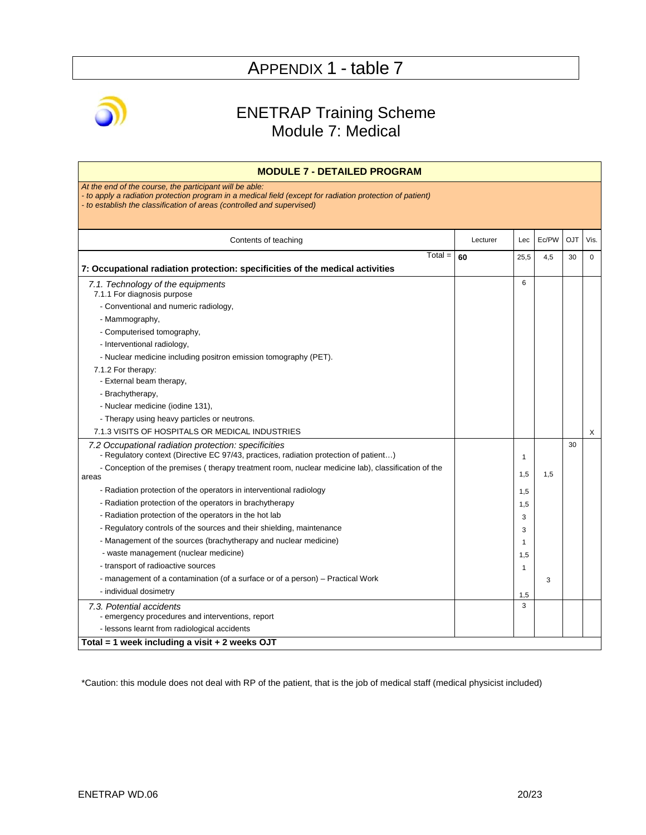

### ENETRAP Training Scheme Module 7: Medical

| <b>MODULE 7 - DETAILED PROGRAM</b>                                                                                                                                                                                                           |          |              |       |            |             |
|----------------------------------------------------------------------------------------------------------------------------------------------------------------------------------------------------------------------------------------------|----------|--------------|-------|------------|-------------|
| At the end of the course, the participant will be able:<br>to apply a radiation protection program in a medical field (except for radiation protection of patient)<br>- to establish the classification of areas (controlled and supervised) |          |              |       |            |             |
| Contents of teaching                                                                                                                                                                                                                         | Lecturer | Lec          | Ec/PW | <b>OJT</b> | Vis.        |
| $Total =$<br>7: Occupational radiation protection: specificities of the medical activities                                                                                                                                                   | 60       | 25,5         | 4,5   | 30         | $\mathbf 0$ |
| 7.1. Technology of the equipments<br>7.1.1 For diagnosis purpose                                                                                                                                                                             |          | 6            |       |            |             |
| - Conventional and numeric radiology,                                                                                                                                                                                                        |          |              |       |            |             |
| - Mammography,                                                                                                                                                                                                                               |          |              |       |            |             |
| - Computerised tomography,                                                                                                                                                                                                                   |          |              |       |            |             |
| - Interventional radiology,                                                                                                                                                                                                                  |          |              |       |            |             |
| - Nuclear medicine including positron emission tomography (PET).                                                                                                                                                                             |          |              |       |            |             |
| 7.1.2 For therapy:                                                                                                                                                                                                                           |          |              |       |            |             |
| - External beam therapy,                                                                                                                                                                                                                     |          |              |       |            |             |
| - Brachytherapy,                                                                                                                                                                                                                             |          |              |       |            |             |
| - Nuclear medicine (iodine 131),                                                                                                                                                                                                             |          |              |       |            |             |
| - Therapy using heavy particles or neutrons.                                                                                                                                                                                                 |          |              |       |            |             |
| 7.1.3 VISITS OF HOSPITALS OR MEDICAL INDUSTRIES                                                                                                                                                                                              |          |              |       |            | X           |
| 7.2 Occupational radiation protection: specificities<br>- Regulatory context (Directive EC 97/43, practices, radiation protection of patient)                                                                                                |          | $\mathbf{1}$ |       | 30         |             |
| - Conception of the premises (therapy treatment room, nuclear medicine lab), classification of the                                                                                                                                           |          | 1,5          | 1.5   |            |             |
| areas                                                                                                                                                                                                                                        |          |              |       |            |             |
| - Radiation protection of the operators in interventional radiology                                                                                                                                                                          |          | 1,5          |       |            |             |
| - Radiation protection of the operators in brachytherapy                                                                                                                                                                                     |          | 1,5          |       |            |             |
| - Radiation protection of the operators in the hot lab                                                                                                                                                                                       |          | 3            |       |            |             |
| - Regulatory controls of the sources and their shielding, maintenance                                                                                                                                                                        |          | 3            |       |            |             |
| - Management of the sources (brachytherapy and nuclear medicine)                                                                                                                                                                             |          | 1            |       |            |             |
| - waste management (nuclear medicine)                                                                                                                                                                                                        |          | 1,5          |       |            |             |
| - transport of radioactive sources                                                                                                                                                                                                           |          | 1            |       |            |             |
| - management of a contamination (of a surface or of a person) – Practical Work                                                                                                                                                               |          |              | 3     |            |             |
| - individual dosimetry                                                                                                                                                                                                                       |          | 1,5          |       |            |             |
| 7.3. Potential accidents                                                                                                                                                                                                                     |          | 3            |       |            |             |
| - emergency procedures and interventions, report                                                                                                                                                                                             |          |              |       |            |             |
| - lessons learnt from radiological accidents                                                                                                                                                                                                 |          |              |       |            |             |
| Total = 1 week including a visit $+ 2$ weeks OJT                                                                                                                                                                                             |          |              |       |            |             |

\*Caution: this module does not deal with RP of the patient, that is the job of medical staff (medical physicist included)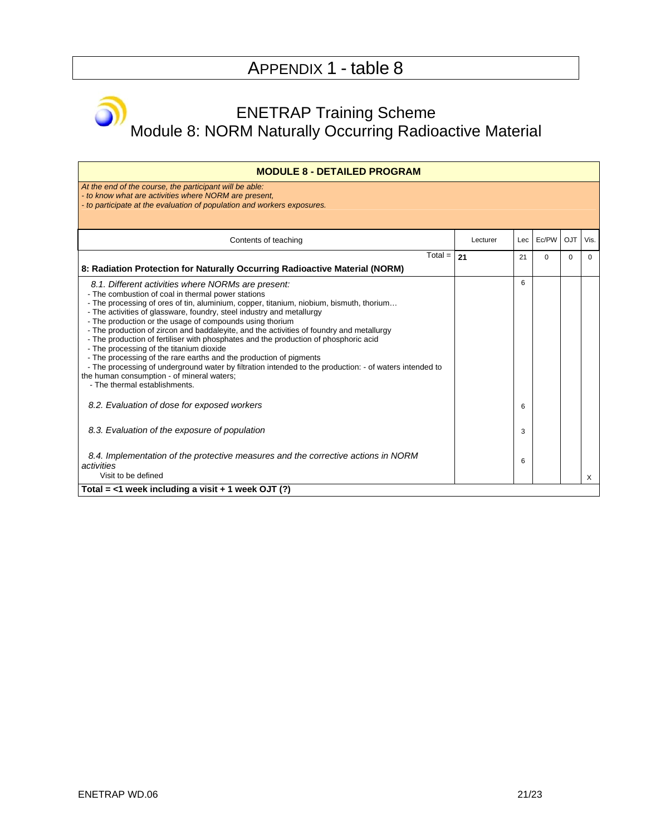### ENETRAP Training Scheme Module 8: NORM Naturally Occurring Radioactive Material

| <b>MODULE 8 - DETAILED PROGRAM</b>                                                                                                                                                                                                                                                                                                                                                                                                                                                                                                                                                                                                                                                                                                                                                                                                       |          |      |          |            |          |
|------------------------------------------------------------------------------------------------------------------------------------------------------------------------------------------------------------------------------------------------------------------------------------------------------------------------------------------------------------------------------------------------------------------------------------------------------------------------------------------------------------------------------------------------------------------------------------------------------------------------------------------------------------------------------------------------------------------------------------------------------------------------------------------------------------------------------------------|----------|------|----------|------------|----------|
| At the end of the course, the participant will be able:<br>- to know what are activities where NORM are present.<br>- to participate at the evaluation of population and workers exposures.                                                                                                                                                                                                                                                                                                                                                                                                                                                                                                                                                                                                                                              |          |      |          |            |          |
| Contents of teaching                                                                                                                                                                                                                                                                                                                                                                                                                                                                                                                                                                                                                                                                                                                                                                                                                     | Lecturer | Lec. | Ec/PW    | <b>OJT</b> | Vis.     |
| $Total =$                                                                                                                                                                                                                                                                                                                                                                                                                                                                                                                                                                                                                                                                                                                                                                                                                                | 21       | 21   | $\Omega$ | $\Omega$   | $\Omega$ |
| 8: Radiation Protection for Naturally Occurring Radioactive Material (NORM)                                                                                                                                                                                                                                                                                                                                                                                                                                                                                                                                                                                                                                                                                                                                                              |          |      |          |            |          |
| 8.1. Different activities where NORMs are present:<br>- The combustion of coal in thermal power stations<br>- The processing of ores of tin, aluminium, copper, titanium, niobium, bismuth, thorium<br>- The activities of glassware, foundry, steel industry and metallurgy<br>- The production or the usage of compounds using thorium<br>- The production of zircon and baddaleyite, and the activities of foundry and metallurgy<br>- The production of fertiliser with phosphates and the production of phosphoric acid<br>- The processing of the titanium dioxide<br>- The processing of the rare earths and the production of pigments<br>- The processing of underground water by filtration intended to the production: - of waters intended to<br>the human consumption - of mineral waters;<br>- The thermal establishments. |          | 6    |          |            |          |
| 8.2. Evaluation of dose for exposed workers                                                                                                                                                                                                                                                                                                                                                                                                                                                                                                                                                                                                                                                                                                                                                                                              |          | 6    |          |            |          |
| 8.3. Evaluation of the exposure of population                                                                                                                                                                                                                                                                                                                                                                                                                                                                                                                                                                                                                                                                                                                                                                                            |          | 3    |          |            |          |
| 8.4. Implementation of the protective measures and the corrective actions in NORM<br>activities<br>Visit to be defined                                                                                                                                                                                                                                                                                                                                                                                                                                                                                                                                                                                                                                                                                                                   |          | 6    |          |            | $\times$ |
| Total = $<$ 1 week including a visit + 1 week OJT (?)                                                                                                                                                                                                                                                                                                                                                                                                                                                                                                                                                                                                                                                                                                                                                                                    |          |      |          |            |          |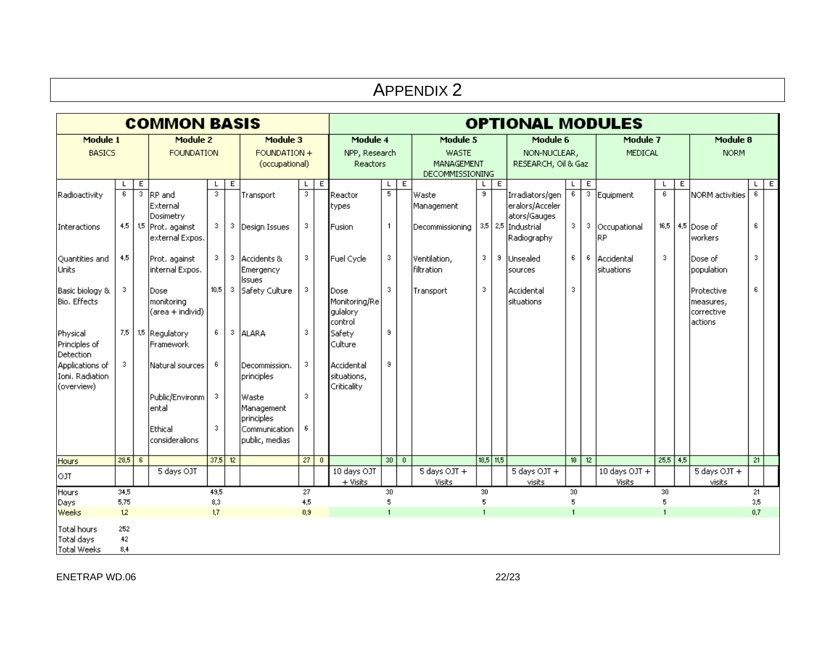|                                                  | <b>APPENDIX 2</b> |                           |                                        |                                            |   |                                    |                                              |                   |                                              |                                               |                |                               |                                                 |             |                                                    |                     |                |                                  |                         |   |                                                   |                |                |
|--------------------------------------------------|-------------------|---------------------------|----------------------------------------|--------------------------------------------|---|------------------------------------|----------------------------------------------|-------------------|----------------------------------------------|-----------------------------------------------|----------------|-------------------------------|-------------------------------------------------|-------------|----------------------------------------------------|---------------------|----------------|----------------------------------|-------------------------|---|---------------------------------------------------|----------------|----------------|
|                                                  |                   | <b>COMMON BASIS</b>       |                                        |                                            |   | <b>OPTIONAL MODULES</b>            |                                              |                   |                                              |                                               |                |                               |                                                 |             |                                                    |                     |                |                                  |                         |   |                                                   |                |                |
| Module 1<br><b>BASICS</b>                        |                   |                           | Module 2<br><b>FOUNDATION</b>          | Module 3<br>FOUNDATION +<br>(occupational) |   |                                    | Module 4<br>NPP, Research<br><b>Reactors</b> |                   |                                              | Module 5<br><b>WASTE</b><br><b>MANAGEMENT</b> |                |                               | Module 6<br>NON-NUCLEAR,<br>RESEARCH, Oil & Gaz |             |                                                    | Module 7<br>MEDICAL |                |                                  | Module 8<br><b>NORM</b> |   |                                                   |                |                |
|                                                  | L                 | E                         |                                        | L                                          | E |                                    | L                                            | Ε                 |                                              | L                                             | $\overline{E}$ | <b>DECOMMISSIONING</b>        | L                                               | E           |                                                    | L                   | E              |                                  | L                       | Ε |                                                   | L.             | $\overline{E}$ |
| Radioactivity                                    | $\overline{6}$    | $\overline{\overline{3}}$ | RP and<br>External<br>Dosimetry        |                                            |   | Transport                          | $\overline{\overline{3}}$                    |                   | Reactor<br>types                             | $\overline{5}$                                |                | Waste<br>Management           | $\overline{s}$                                  |             | Irradiators/gen<br>eralors/Acceler<br>ators/Gauges | $6\overline{6}$     | $\overline{3}$ | Equipment                        | $\overline{6}$          |   | NORM activities                                   | $\overline{6}$ |                |
| Interactions                                     | 4,5               |                           | 1,5 Prot. against<br>external Expos.   | 3                                          | 3 | Design Issues                      | 3                                            |                   | Fusion                                       | $\mathbf{1}$                                  |                | Decommissioning               |                                                 |             | $3,5$ 2.5 Industrial<br> Radiography               | 3                   | 3              | Occupational<br><b>RP</b>        | 16,5                    |   | 4.5 Dose of<br>workers                            | 6              |                |
| Quantities and<br>Units                          | 4,5               |                           | Prot. against<br>internal Expos.       | 3                                          | 3 | Accidents &<br>Emergency<br>lssues | 3                                            |                   | Fuel Cycle                                   | 3                                             |                | Ventilation,<br>filtration    | 3                                               | 9           | Unsealed<br>sources                                | 6                   | 6              | Accidental<br>situations         | 3                       |   | lDose of:<br>population                           | 3              |                |
| Basic biology &<br>Bio. Effects                  | 3                 |                           | Dose<br>monitoring<br>(area + individ) | 10.5                                       | 3 | Safety Culture                     | 3.                                           |                   | Dose<br>Monitoring/Re<br>quialory<br>control | 3                                             |                | Transport                     | 3                                               |             | Accidental<br>situations                           | 3                   |                |                                  |                         |   | lProtective<br>measures,<br>corrective<br>actions | 6              |                |
| Physical<br>Principles of<br>Detection           | 7,5               |                           | 1.5 Regulatory<br>Framework            | 6                                          | 3 | <b>ALARA</b>                       | 3                                            |                   | Safety<br>Culture                            | 9                                             |                |                               |                                                 |             |                                                    |                     |                |                                  |                         |   |                                                   |                |                |
| Applications of<br>Ioni, Radiation<br>(overview) | 3                 |                           | Natural sources                        | -6                                         |   | Decommission.<br>principles        | 3.                                           |                   | Accidental<br>situations,<br>Criticality     | 9.                                            |                |                               |                                                 |             |                                                    |                     |                |                                  |                         |   |                                                   |                |                |
|                                                  |                   |                           | Public/Environm<br>ental               | -3                                         |   | Waste<br>Management<br>principles  | 3                                            |                   |                                              |                                               |                |                               |                                                 |             |                                                    |                     |                |                                  |                         |   |                                                   |                |                |
|                                                  |                   |                           | Ethical<br>consideralions              | $\overline{3}$                             |   | Communication<br>public, medias    | 6.                                           |                   |                                              |                                               |                |                               |                                                 |             |                                                    |                     |                |                                  |                         |   |                                                   |                |                |
| <b>Hours</b>                                     | $28,5$ 6          |                           |                                        | $37,5$ 12                                  |   |                                    |                                              | $\overline{27}$ 0 |                                              | 3000                                          |                |                               |                                                 | $18,5$ 11,5 |                                                    |                     | $18$ 12        |                                  | $25,5$ 4,5              |   |                                                   | 21             |                |
| OJT                                              |                   |                           | 5 days OJT                             |                                            |   |                                    |                                              |                   | 10 days OJT<br>$+$ Visits                    |                                               |                | 5 days OJT +<br><b>Visits</b> |                                                 |             | 5 days OJT +<br>visits                             |                     |                | 10 days $OJT +$<br><b>Visits</b> |                         |   | 5 days OJT +<br>visits                            |                |                |
| Hours                                            | 34,5              |                           |                                        | 49,5                                       |   |                                    | 27                                           |                   |                                              | 30                                            |                |                               | 30                                              |             |                                                    | 30                  |                |                                  | 30                      |   |                                                   | 21             |                |
| Days<br>Weeks                                    | 5,75<br>1.2       |                           |                                        | 8,3<br>1,7                                 |   |                                    | 4,5<br>0.9 <sub>1</sub>                      |                   |                                              | 5<br>$\mathbf{1}$                             |                |                               | 5<br>$\mathbf{1}$                               |             |                                                    | 5<br>$\overline{1}$ |                |                                  | 5<br>$\mathbf{1}$       |   |                                                   | 3,5<br>0.7     |                |
| Total hours<br>Total days<br><b>Total Weeks</b>  | 252<br>42<br>8,4  |                           |                                        |                                            |   |                                    |                                              |                   |                                              |                                               |                |                               |                                                 |             |                                                    |                     |                |                                  |                         |   |                                                   |                |                |

#### ENETRAP WD.06